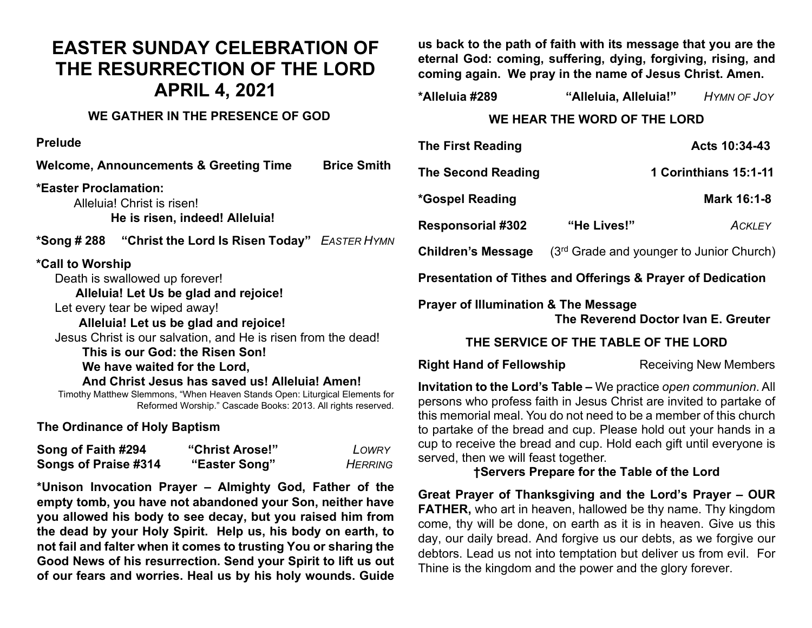# **EASTER SUNDAY CELEBRATION OF THE RESURRECTION OF THE LORD APRIL 4, 2021**

## **WE GATHER IN THE PRESENCE OF GOD**

**Prelude**

**Welcome, Announcements & Greeting Time Brice Smith \*Easter Proclamation:**  Alleluia! Christ is risen! **He is risen, indeed! Alleluia! \*Song # 288 "Christ the Lord Is Risen Today"** *EASTER HYMN* **\*Call to Worship** Death is swallowed up forever!  **Alleluia! Let Us be glad and rejoice!** Let every tear be wiped away!  **Alleluia! Let us be glad and rejoice!** Jesus Christ is our salvation, and He is risen from the dead!  **This is our God: the Risen Son! We have waited for the Lord,**

 **And Christ Jesus has saved us! Alleluia! Amen!** Timothy Matthew Slemmons, "When Heaven Stands Open: Liturgical Elements for Reformed Worship." Cascade Books: 2013. All rights reserved.

**The Ordinance of Holy Baptism**

| Song of Faith #294   | "Christ Arose!" | LOWRY          |
|----------------------|-----------------|----------------|
| Songs of Praise #314 | "Easter Song"   | <b>HERRING</b> |

**\*Unison Invocation Prayer – Almighty God, Father of the empty tomb, you have not abandoned your Son, neither have you allowed his body to see decay, but you raised him from the dead by your Holy Spirit. Help us, his body on earth, to not fail and falter when it comes to trusting You or sharing the Good News of his resurrection. Send your Spirit to lift us out of our fears and worries. Heal us by his holy wounds. Guide** 

**us back to the path of faith with its message that you are the eternal God: coming, suffering, dying, forgiving, rising, and coming again. We pray in the name of Jesus Christ. Amen.**

| *Alleluia #289 | "Alleluia, Alleluia!" | HYMN OF JOY |
|----------------|-----------------------|-------------|
|                |                       |             |

## **WE HEAR THE WORD OF THE LORD**

| <b>The First Reading</b>                                    |                                            | Acts 10:34-43         |  |  |
|-------------------------------------------------------------|--------------------------------------------|-----------------------|--|--|
| <b>The Second Reading</b>                                   |                                            | 1 Corinthians 15:1-11 |  |  |
| <i>*</i> Gospel Reading                                     |                                            | Mark 16:1-8           |  |  |
| <b>Responsorial #302</b>                                    | "He Lives!"                                | <b>ACKLEY</b>         |  |  |
| <b>Children's Message</b>                                   | $(3rd$ Grade and younger to Junior Church) |                       |  |  |
| Presentation of Tithes and Offerings & Prayer of Dedication |                                            |                       |  |  |
| <b>Draver of Illumination &amp; The Message</b>             |                                            |                       |  |  |

**Prayer of Illumination & The Message The Reverend Doctor Ivan E. Greuter** 

## **THE SERVICE OF THE TABLE OF THE LORD**

**Right Hand of Fellowship Receiving New Members** 

**Invitation to the Lord's Table –** We practice *open communion*. All persons who profess faith in Jesus Christ are invited to partake of this memorial meal. You do not need to be a member of this church to partake of the bread and cup. Please hold out your hands in a cup to receive the bread and cup. Hold each gift until everyone is served, then we will feast together.

## **†Servers Prepare for the Table of the Lord**

**Great Prayer of Thanksgiving and the Lord's Prayer – OUR FATHER,** who art in heaven, hallowed be thy name. Thy kingdom come, thy will be done, on earth as it is in heaven. Give us this day, our daily bread. And forgive us our debts, as we forgive our debtors. Lead us not into temptation but deliver us from evil. For Thine is the kingdom and the power and the glory forever.